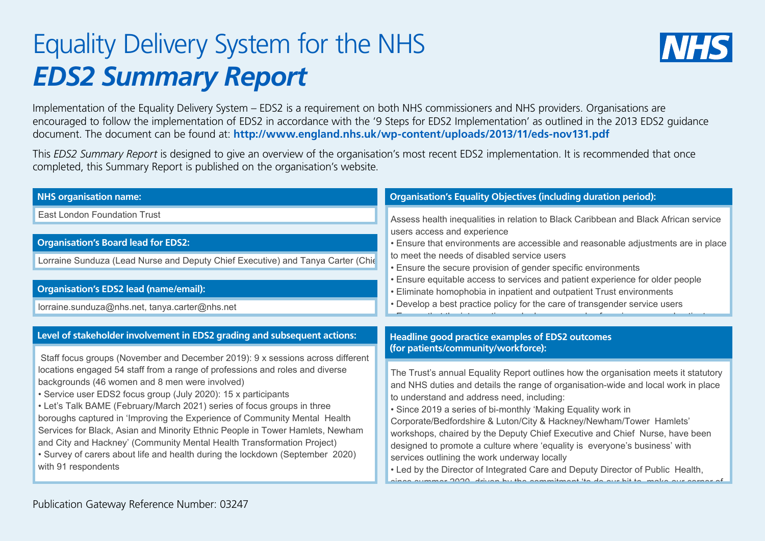## Equality Delivery System for the NHS *EDS2 Summary Report*



Implementation of the Equality Delivery System – EDS2 is a requirement on both NHS commissioners and NHS providers. Organisations are encouraged to follow the implementation of EDS2 in accordance with the '9 Steps for EDS2 Implementation' as outlined in the 2013 EDS2 guidance document. The document can be found at: **http://www.england.nhs.uk/wp-content/uploads/2013/11/eds-nov131.pdf**

This *EDS2 Summary Report* is designed to give an overview of the organisation's most recent EDS2 implementation. It is recommended that once completed, this Summary Report is published on the organisation's website.

| <b>NHS organisation name:</b>                                                                                                                           | <b>Organisation's Equality Objectives (including duration period):</b>                                                                                                                                                                                                                                                                                                                                                                                                            |
|---------------------------------------------------------------------------------------------------------------------------------------------------------|-----------------------------------------------------------------------------------------------------------------------------------------------------------------------------------------------------------------------------------------------------------------------------------------------------------------------------------------------------------------------------------------------------------------------------------------------------------------------------------|
| <b>East London Foundation Trust</b>                                                                                                                     | Assess health inequalities in relation to Black Caribbean and Black African service<br>users access and experience<br>. Ensure that environments are accessible and reasonable adjustments are in place<br>to meet the needs of disabled service users<br>• Ensure the secure provision of gender specific environments<br>• Ensure equitable access to services and patient experience for older people<br>• Eliminate homophobia in inpatient and outpatient Trust environments |
|                                                                                                                                                         |                                                                                                                                                                                                                                                                                                                                                                                                                                                                                   |
| <b>Organisation's Board lead for EDS2:</b>                                                                                                              |                                                                                                                                                                                                                                                                                                                                                                                                                                                                                   |
| Lorraine Sunduza (Lead Nurse and Deputy Chief Executive) and Tanya Carter (Chie                                                                         |                                                                                                                                                                                                                                                                                                                                                                                                                                                                                   |
|                                                                                                                                                         |                                                                                                                                                                                                                                                                                                                                                                                                                                                                                   |
| <b>Organisation's EDS2 lead (name/email):</b>                                                                                                           |                                                                                                                                                                                                                                                                                                                                                                                                                                                                                   |
| lorraine.sunduza@nhs.net, tanya.carter@nhs.net                                                                                                          | • Develop a best practice policy for the care of transgender service users                                                                                                                                                                                                                                                                                                                                                                                                        |
|                                                                                                                                                         |                                                                                                                                                                                                                                                                                                                                                                                                                                                                                   |
| Level of stakeholder involvement in EDS2 grading and subsequent actions:                                                                                | Headline good practice examples of EDS2 outcomes                                                                                                                                                                                                                                                                                                                                                                                                                                  |
| Staff focus groups (November and December 2019): 9 x sessions across different                                                                          | (for patients/community/workforce):                                                                                                                                                                                                                                                                                                                                                                                                                                               |
| locations engaged 54 staff from a range of professions and roles and diverse                                                                            | The Trust's annual Equality Report outlines how the organisation meets it statutory                                                                                                                                                                                                                                                                                                                                                                                               |
| backgrounds (46 women and 8 men were involved)<br>• Service user EDS2 focus group (July 2020): 15 x participants                                        | and NHS duties and details the range of organisation-wide and local work in place                                                                                                                                                                                                                                                                                                                                                                                                 |
| • Let's Talk BAME (February/March 2021) series of focus groups in three                                                                                 | to understand and address need, including:<br>• Since 2019 a series of bi-monthly 'Making Equality work in                                                                                                                                                                                                                                                                                                                                                                        |
| boroughs captured in 'Improving the Experience of Community Mental Health                                                                               | Corporate/Bedfordshire & Luton/City & Hackney/Newham/Tower Hamlets'                                                                                                                                                                                                                                                                                                                                                                                                               |
| Services for Black, Asian and Minority Ethnic People in Tower Hamlets, Newham                                                                           | workshops, chaired by the Deputy Chief Executive and Chief Nurse, have been                                                                                                                                                                                                                                                                                                                                                                                                       |
| and City and Hackney' (Community Mental Health Transformation Project)<br>. Survey of carers about life and health during the lockdown (September 2020) | designed to promote a culture where 'equality is everyone's business' with                                                                                                                                                                                                                                                                                                                                                                                                        |
| with 91 respondents                                                                                                                                     | services outlining the work underway locally<br>. Led by the Director of Integrated Care and Deputy Director of Public Health,                                                                                                                                                                                                                                                                                                                                                    |
|                                                                                                                                                         |                                                                                                                                                                                                                                                                                                                                                                                                                                                                                   |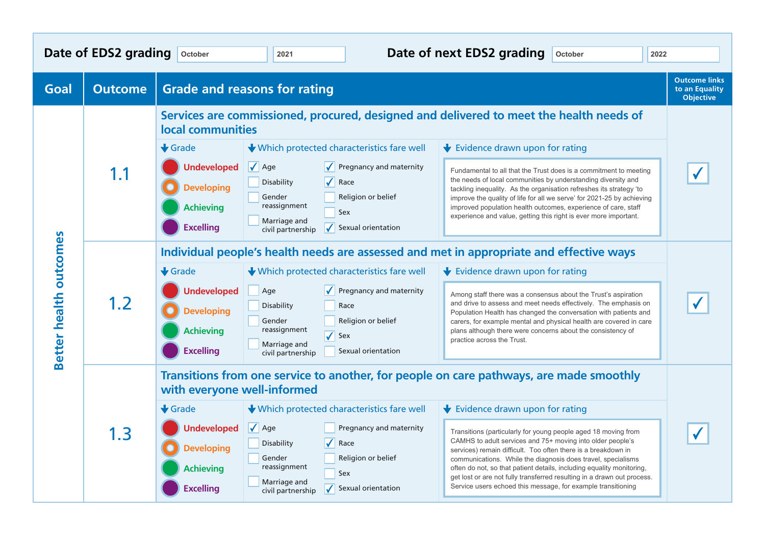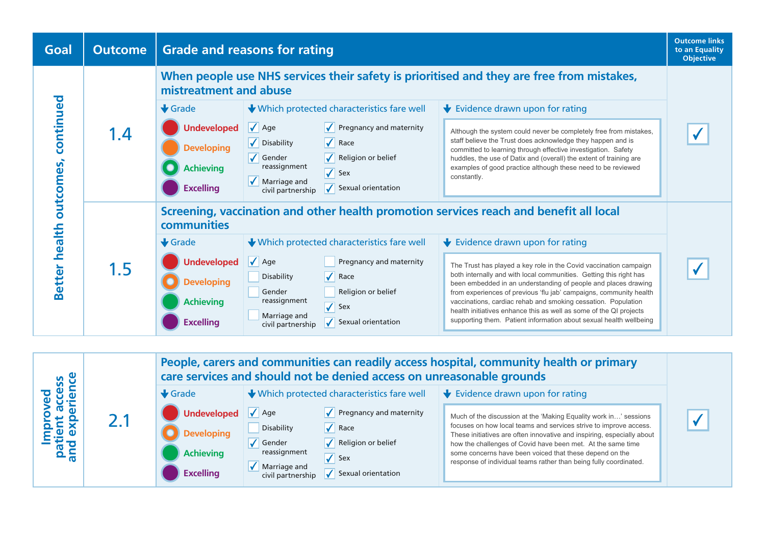

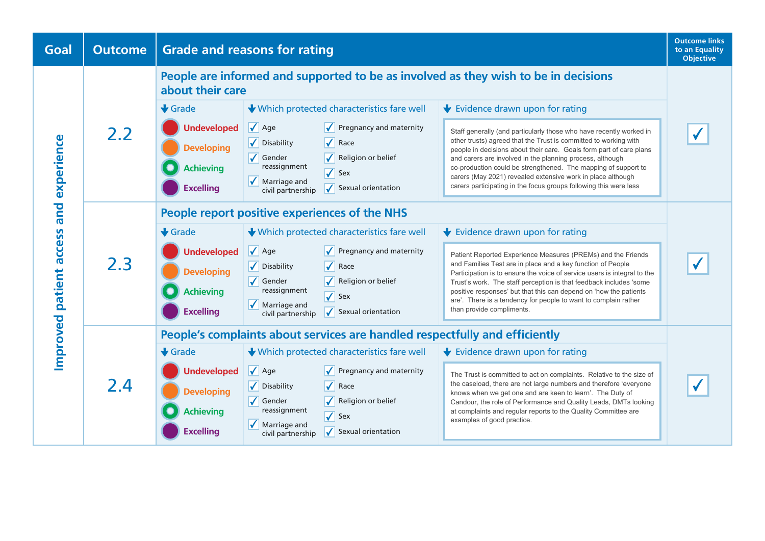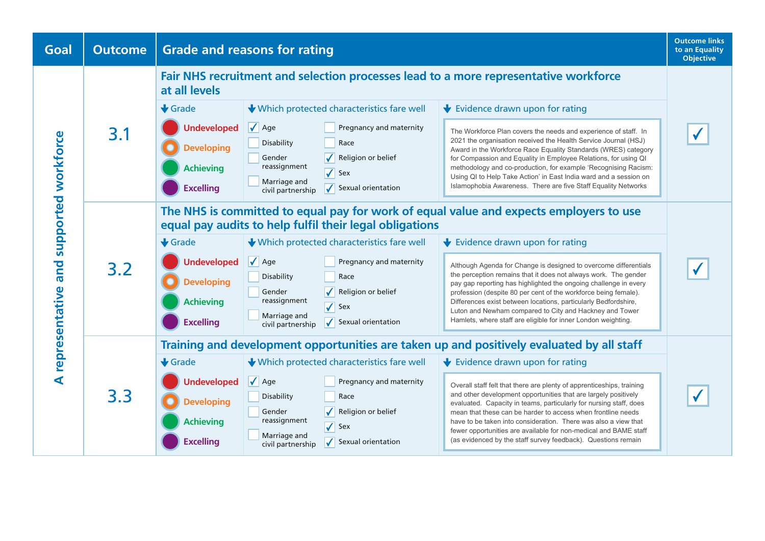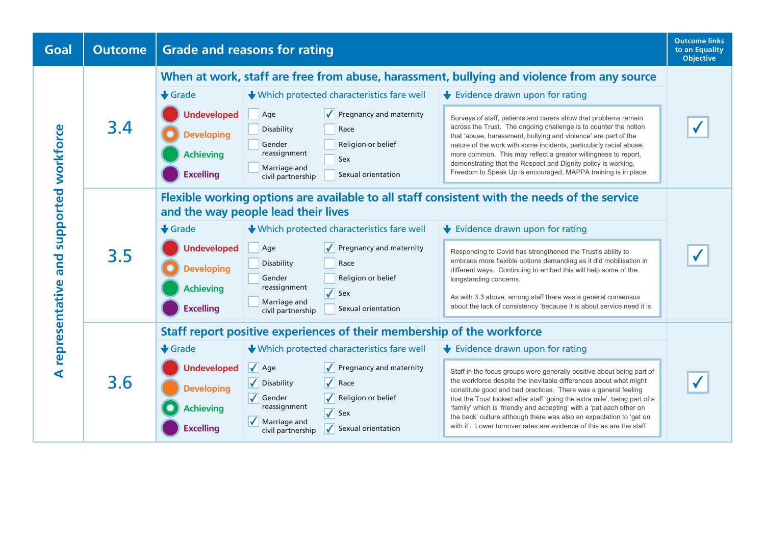